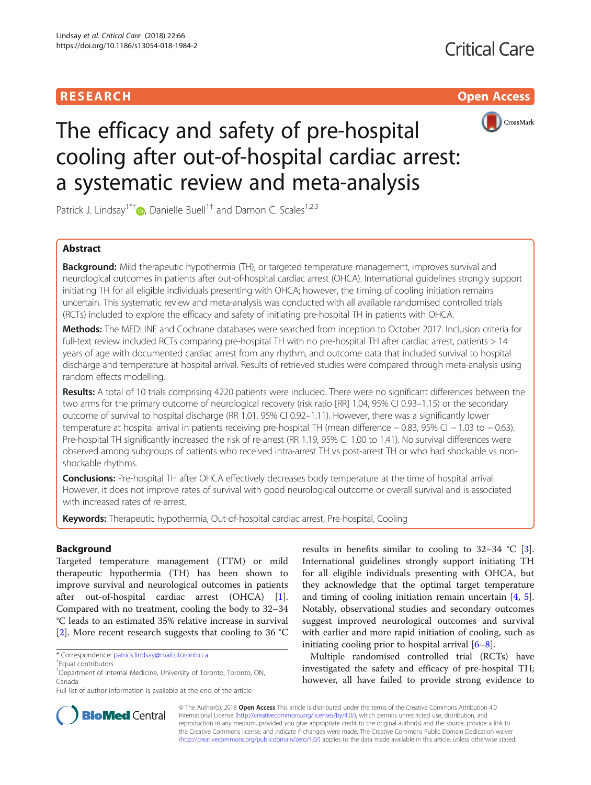# **RESEARCH CHILD CONTROL** CONTROL CONTROL CONTROL CONTROL CONTROL CONTROL CONTROL CONTROL CONTROL CONTROL CONTROL



# The efficacy and safety of pre-hospital cooling after out-of-hospital cardiac arrest: a systematic review and meta-analysis

Patrick J. Lindsay<sup>1\*[†](http://orcid.org/0000-0001-5909-9509)</sup>  $\bullet$ , Danielle Buell<sup>1†</sup> and Damon C. Scales<sup>1,2,3</sup>

# Abstract

Background: Mild therapeutic hypothermia (TH), or targeted temperature management, improves survival and neurological outcomes in patients after out-of-hospital cardiac arrest (OHCA). International guidelines strongly support initiating TH for all eligible individuals presenting with OHCA; however, the timing of cooling initiation remains uncertain. This systematic review and meta-analysis was conducted with all available randomised controlled trials (RCTs) included to explore the efficacy and safety of initiating pre-hospital TH in patients with OHCA.

Methods: The MEDLINE and Cochrane databases were searched from inception to October 2017. Inclusion criteria for full-text review included RCTs comparing pre-hospital TH with no pre-hospital TH after cardiac arrest, patients > 14 years of age with documented cardiac arrest from any rhythm, and outcome data that included survival to hospital discharge and temperature at hospital arrival. Results of retrieved studies were compared through meta-analysis using random effects modelling.

Results: A total of 10 trials comprising 4220 patients were included. There were no significant differences between the two arms for the primary outcome of neurological recovery (risk ratio [RR] 1.04, 95% CI 0.93-1.15) or the secondary outcome of survival to hospital discharge (RR 1.01, 95% CI 0.92–1.11). However, there was a significantly lower temperature at hospital arrival in patients receiving pre-hospital TH (mean difference − 0.83, 95% CI − 1.03 to − 0.63). Pre-hospital TH significantly increased the risk of re-arrest (RR 1.19, 95% CI 1.00 to 1.41). No survival differences were observed among subgroups of patients who received intra-arrest TH vs post-arrest TH or who had shockable vs nonshockable rhythms.

Conclusions: Pre-hospital TH after OHCA effectively decreases body temperature at the time of hospital arrival. However, it does not improve rates of survival with good neurological outcome or overall survival and is associated with increased rates of re-arrest.

Keywords: Therapeutic hypothermia, Out-of-hospital cardiac arrest, Pre-hospital, Cooling

## Background

Targeted temperature management (TTM) or mild therapeutic hypothermia (TH) has been shown to improve survival and neurological outcomes in patients after out-of-hospital cardiac arrest (OHCA) [\[1](#page-7-0)]. Compared with no treatment, cooling the body to 32–34 °C leads to an estimated 35% relative increase in survival [[2\]](#page-7-0). More recent research suggests that cooling to 36 °C



Multiple randomised controlled trial (RCTs) have investigated the safety and efficacy of pre-hospital TH; however, all have failed to provide strong evidence to



© The Author(s). 2018 Open Access This article is distributed under the terms of the Creative Commons Attribution 4.0 International License [\(http://creativecommons.org/licenses/by/4.0/](http://creativecommons.org/licenses/by/4.0/)), which permits unrestricted use, distribution, and reproduction in any medium, provided you give appropriate credit to the original author(s) and the source, provide a link to the Creative Commons license, and indicate if changes were made. The Creative Commons Public Domain Dedication waiver [\(http://creativecommons.org/publicdomain/zero/1.0/](http://creativecommons.org/publicdomain/zero/1.0/)) applies to the data made available in this article, unless otherwise stated.

<sup>\*</sup> Correspondence: [patrick.lindsay@mail.utoronto.ca](mailto:patrick.lindsay@mail.utoronto.ca) †

Equal contributors

<sup>&</sup>lt;sup>1</sup> Department of Internal Medicine, University of Toronto, Toronto, ON, Canada

Full list of author information is available at the end of the article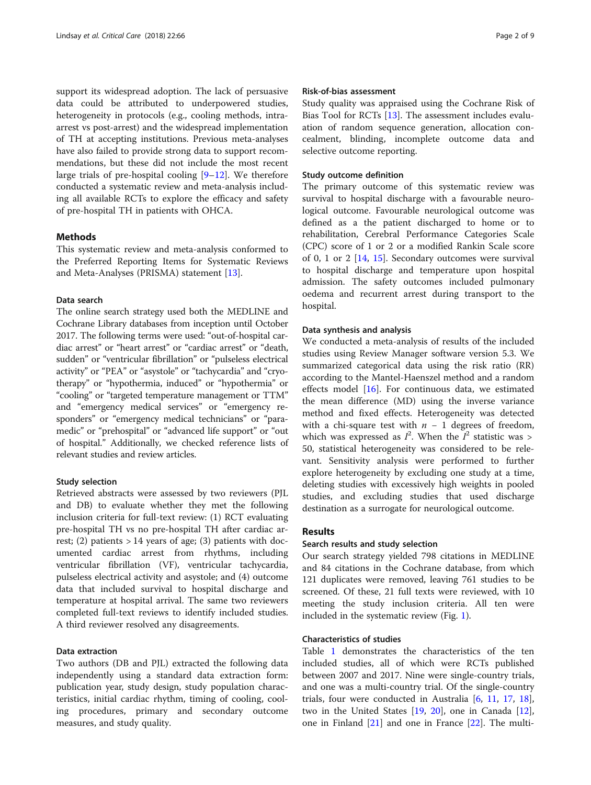support its widespread adoption. The lack of persuasive data could be attributed to underpowered studies, heterogeneity in protocols (e.g., cooling methods, intraarrest vs post-arrest) and the widespread implementation of TH at accepting institutions. Previous meta-analyses have also failed to provide strong data to support recommendations, but these did not include the most recent large trials of pre-hospital cooling [[9](#page-7-0)–[12](#page-7-0)]. We therefore conducted a systematic review and meta-analysis including all available RCTs to explore the efficacy and safety of pre-hospital TH in patients with OHCA.

#### Methods

This systematic review and meta-analysis conformed to the Preferred Reporting Items for Systematic Reviews and Meta-Analyses (PRISMA) statement [\[13](#page-7-0)].

#### Data search

The online search strategy used both the MEDLINE and Cochrane Library databases from inception until October 2017. The following terms were used: "out-of-hospital cardiac arrest" or "heart arrest" or "cardiac arrest" or "death, sudden" or "ventricular fibrillation" or "pulseless electrical activity" or "PEA" or "asystole" or "tachycardia" and "cryotherapy" or "hypothermia, induced" or "hypothermia" or "cooling" or "targeted temperature management or TTM" and "emergency medical services" or "emergency responders" or "emergency medical technicians" or "paramedic" or "prehospital" or "advanced life support" or "out of hospital." Additionally, we checked reference lists of relevant studies and review articles.

#### Study selection

Retrieved abstracts were assessed by two reviewers (PJL and DB) to evaluate whether they met the following inclusion criteria for full-text review: (1) RCT evaluating pre-hospital TH vs no pre-hospital TH after cardiac arrest; (2) patients  $> 14$  years of age; (3) patients with documented cardiac arrest from rhythms, including ventricular fibrillation (VF), ventricular tachycardia, pulseless electrical activity and asystole; and (4) outcome data that included survival to hospital discharge and temperature at hospital arrival. The same two reviewers completed full-text reviews to identify included studies. A third reviewer resolved any disagreements.

#### Data extraction

Two authors (DB and PJL) extracted the following data independently using a standard data extraction form: publication year, study design, study population characteristics, initial cardiac rhythm, timing of cooling, cooling procedures, primary and secondary outcome measures, and study quality.

#### Risk-of-bias assessment

Study quality was appraised using the Cochrane Risk of Bias Tool for RCTs [[13](#page-7-0)]. The assessment includes evaluation of random sequence generation, allocation concealment, blinding, incomplete outcome data and selective outcome reporting.

#### Study outcome definition

The primary outcome of this systematic review was survival to hospital discharge with a favourable neurological outcome. Favourable neurological outcome was defined as a the patient discharged to home or to rehabilitation, Cerebral Performance Categories Scale (CPC) score of 1 or 2 or a modified Rankin Scale score of 0, 1 or 2  $[14, 15]$  $[14, 15]$  $[14, 15]$ . Secondary outcomes were survival to hospital discharge and temperature upon hospital admission. The safety outcomes included pulmonary oedema and recurrent arrest during transport to the hospital.

#### Data synthesis and analysis

We conducted a meta-analysis of results of the included studies using Review Manager software version 5.3. We summarized categorical data using the risk ratio (RR) according to the Mantel-Haenszel method and a random effects model [\[16](#page-7-0)]. For continuous data, we estimated the mean difference (MD) using the inverse variance method and fixed effects. Heterogeneity was detected with a chi-square test with  $n - 1$  degrees of freedom, which was expressed as  $I^2$ . When the  $I^2$  statistic was > 50, statistical heterogeneity was considered to be relevant. Sensitivity analysis were performed to further explore heterogeneity by excluding one study at a time, deleting studies with excessively high weights in pooled studies, and excluding studies that used discharge destination as a surrogate for neurological outcome.

#### Results

#### Search results and study selection

Our search strategy yielded 798 citations in MEDLINE and 84 citations in the Cochrane database, from which 121 duplicates were removed, leaving 761 studies to be screened. Of these, 21 full texts were reviewed, with 10 meeting the study inclusion criteria. All ten were included in the systematic review (Fig. [1\)](#page-2-0).

#### Characteristics of studies

Table [1](#page-3-0) demonstrates the characteristics of the ten included studies, all of which were RCTs published between 2007 and 2017. Nine were single-country trials, and one was a multi-country trial. Of the single-country trials, four were conducted in Australia [[6,](#page-7-0) [11,](#page-7-0) [17](#page-7-0), [18](#page-7-0)], two in the United States [[19,](#page-8-0) [20\]](#page-8-0), one in Canada [\[12](#page-7-0)], one in Finland [\[21\]](#page-8-0) and one in France [\[22\]](#page-8-0). The multi-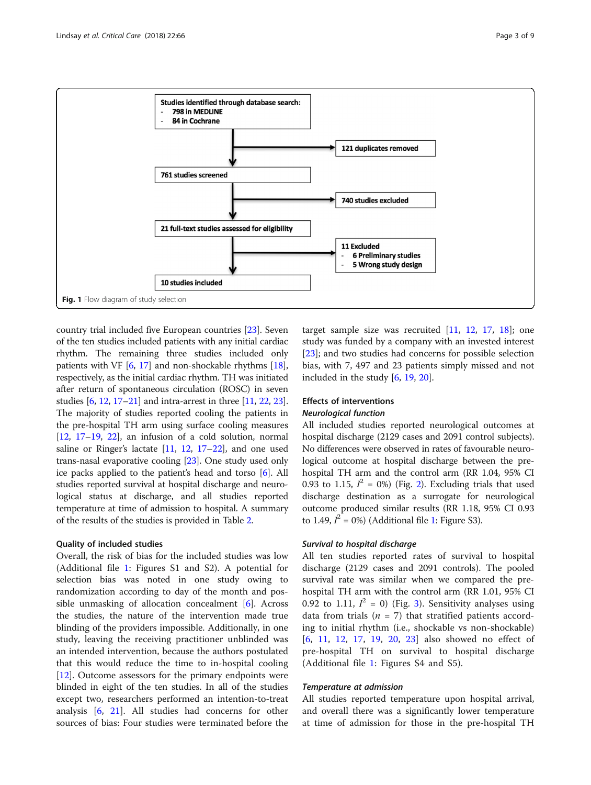<span id="page-2-0"></span>

country trial included five European countries [\[23\]](#page-8-0). Seven of the ten studies included patients with any initial cardiac rhythm. The remaining three studies included only patients with VF [[6,](#page-7-0) [17\]](#page-7-0) and non-shockable rhythms [[18](#page-7-0)], respectively, as the initial cardiac rhythm. TH was initiated after return of spontaneous circulation (ROSC) in seven studies [\[6,](#page-7-0) [12](#page-7-0), [17](#page-7-0)–[21](#page-8-0)] and intra-arrest in three [[11](#page-7-0), [22,](#page-8-0) [23](#page-8-0)]. The majority of studies reported cooling the patients in the pre-hospital TH arm using surface cooling measures  $[12, 17-19, 22]$  $[12, 17-19, 22]$  $[12, 17-19, 22]$  $[12, 17-19, 22]$  $[12, 17-19, 22]$  $[12, 17-19, 22]$  $[12, 17-19, 22]$  $[12, 17-19, 22]$ , an infusion of a cold solution, normal saline or Ringer's lactate [\[11,](#page-7-0) [12](#page-7-0), [17](#page-7-0)–[22\]](#page-8-0), and one used trans-nasal evaporative cooling [\[23\]](#page-8-0). One study used only ice packs applied to the patient's head and torso [[6\]](#page-7-0). All studies reported survival at hospital discharge and neurological status at discharge, and all studies reported temperature at time of admission to hospital. A summary of the results of the studies is provided in Table [2](#page-4-0).

#### Quality of included studies

Overall, the risk of bias for the included studies was low (Additional file [1:](#page-7-0) Figures S1 and S2). A potential for selection bias was noted in one study owing to randomization according to day of the month and possible unmasking of allocation concealment [[6\]](#page-7-0). Across the studies, the nature of the intervention made true blinding of the providers impossible. Additionally, in one study, leaving the receiving practitioner unblinded was an intended intervention, because the authors postulated that this would reduce the time to in-hospital cooling [[12\]](#page-7-0). Outcome assessors for the primary endpoints were blinded in eight of the ten studies. In all of the studies except two, researchers performed an intention-to-treat analysis [[6,](#page-7-0) [21](#page-8-0)]. All studies had concerns for other sources of bias: Four studies were terminated before the

target sample size was recruited  $[11, 12, 17, 18]$  $[11, 12, 17, 18]$  $[11, 12, 17, 18]$  $[11, 12, 17, 18]$  $[11, 12, 17, 18]$  $[11, 12, 17, 18]$  $[11, 12, 17, 18]$  $[11, 12, 17, 18]$ ; one study was funded by a company with an invested interest [[23\]](#page-8-0); and two studies had concerns for possible selection bias, with 7, 497 and 23 patients simply missed and not included in the study [\[6](#page-7-0), [19](#page-8-0), [20](#page-8-0)].

# Effects of interventions

#### Neurological function

All included studies reported neurological outcomes at hospital discharge (2129 cases and 2091 control subjects). No differences were observed in rates of favourable neurological outcome at hospital discharge between the prehospital TH arm and the control arm (RR 1.04, 95% CI 0.93 to 1.15,  $I^2 = 0\%$  $I^2 = 0\%$  $I^2 = 0\%$ ) (Fig. 2). Excluding trials that used discharge destination as a surrogate for neurological outcome produced similar results (RR 1.18, 95% CI 0.93 to [1](#page-7-0).49,  $I^2 = 0\%$ ) (Additional file 1: Figure S3).

#### Survival to hospital discharge

All ten studies reported rates of survival to hospital discharge (2129 cases and 2091 controls). The pooled survival rate was similar when we compared the prehospital TH arm with the control arm (RR 1.01, 95% CI 0.92 to 1.11,  $I^2 = 0$ ) (Fig. [3](#page-5-0)). Sensitivity analyses using data from trials ( $n = 7$ ) that stratified patients according to initial rhythm (i.e., shockable vs non-shockable) [[6](#page-7-0), [11,](#page-7-0) [12](#page-7-0), [17](#page-7-0), [19,](#page-8-0) [20](#page-8-0), [23](#page-8-0)] also showed no effect of pre-hospital TH on survival to hospital discharge (Additional file [1:](#page-7-0) Figures S4 and S5).

#### Temperature at admission

All studies reported temperature upon hospital arrival, and overall there was a significantly lower temperature at time of admission for those in the pre-hospital TH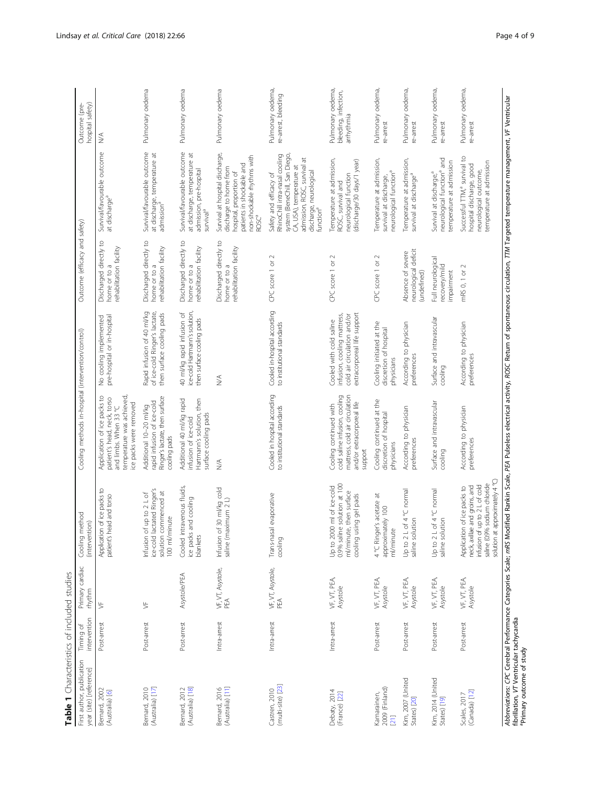| Table 1 Characteristics of included studies                          |                           |                           |                                                                                                                                                                              |                                                                                                                                            |                                                                                                                      |                                                                                  |                                                                                                                                                                                                                     |                                                         |
|----------------------------------------------------------------------|---------------------------|---------------------------|------------------------------------------------------------------------------------------------------------------------------------------------------------------------------|--------------------------------------------------------------------------------------------------------------------------------------------|----------------------------------------------------------------------------------------------------------------------|----------------------------------------------------------------------------------|---------------------------------------------------------------------------------------------------------------------------------------------------------------------------------------------------------------------|---------------------------------------------------------|
| First author, publication<br>year (site) [reference]                 | intervention<br>Timing of | Primary cardiac<br>thythm | Cooling method<br>(intervention)                                                                                                                                             | Cooling methods in-hospital (intervention/control)                                                                                         |                                                                                                                      | Outcome (efficacy and safety)                                                    |                                                                                                                                                                                                                     | hospital safety)<br>Outcome (pre-                       |
| Bernard, 2002<br>(Australia) [6]                                     | Post-arrest               | 岁                         | of ice packs to<br>patient's head and torso<br>Application                                                                                                                   | temperature was achieved,<br>Application of ice packs to<br>patient's head, neck, torso<br>ice packs were removed<br>and limbs. When 33 °C | pre-hospital or in-hospital<br>No cooling implemented                                                                | Discharged directly to<br>rehabilitation facility<br>home or to a                | Survival/favourable outcome<br>at discharge <sup>a</sup>                                                                                                                                                            | $\stackrel{\triangle}{\geq}$                            |
| (Australia) [17]<br>Bernard, 2010                                    | Post-arrest               | ⋟                         | Infusion of up to 2 L of<br>ice-cold lactated Ringer's<br>solution commenced at<br>100 ml/minute                                                                             | Ringer's lactate, then surface<br>rapid infusion of ice-cold<br>Additional 10-20 ml/kg<br>cooling pads                                     | Rapid infusion of 40 ml/kg<br>of ice-cold Ringer's lactate,<br>then surface cooling pads                             | Discharged directly to<br>rehabilitation facility<br>home or to a                | Survival/favourable outcome<br>at discharge, temperature at<br>admission <sup>a</sup>                                                                                                                               | Pulmonary oedema                                        |
| (Australia) [18]<br>Bernard, 2012                                    | Post-arrest               | Asystole/PEA              | Cooled intravenous fluids,<br>ice packs and cooling<br>blankets                                                                                                              | Hartmann's solution, then<br>Additional 40 ml/kg rapid<br>surface cooling pads<br>infusion of ice-cold                                     | 40 m/kg rapid infusion of<br>ice-cold Hartmann's solution,<br>then surface cooling pads                              | $\overline{c}$<br>rehabilitation facility<br>Discharged directly<br>home or to a | Survival/favourable outcome<br>at discharge, temperature at<br>admission, pre-hospital<br>survival <sup>a</sup>                                                                                                     | Pulmonary oedema                                        |
| (Australia) [11]<br>Bernard, 2016                                    | Intra-arrest              | VF, VT, Asystole,<br>PEA  | 30 ml/kg cold<br>saline (maximum 2 L)<br>Infusion of                                                                                                                         | ≫                                                                                                                                          | ⋚                                                                                                                    | $\overline{c}$<br>rehabilitation facility<br>Discharged directly<br>home or to a | Survival at hospital discharge,<br>non-shockable rhythms with<br>patients in shockable and<br>discharge to home from<br>hospital, proportion of<br>ROSCª                                                            | Pulmonary oedema                                        |
| (multi-site) [23]<br>Castren, 2010                                   | Intra-arrest              | VF, VT, Asystole,<br>PEA  | evaporative<br>Trans-nasal<br>cooling                                                                                                                                        | Cooled in hospital according<br>to institutional standards                                                                                 | Cooled in-hospital according<br>to institutional standards                                                           | $\sim$<br>CPC score 1 or                                                         | RhinoChill intra-nasal cooling<br>system (BeneChill, San Diego,<br>admission, ROSC, survival at<br>CA, USA), temperature at<br>discharge, neurological<br>Safety and efficacy of<br>function <sup>a</sup>           | Pulmonary oedema,<br>re-arrest, bleeding                |
| Debaty, 2014<br>(France) [22]                                        | Intra-arrest              | VF, VT, PEA,<br>Asystole  | solution at 100<br>Up to 2000 ml of ice-cold<br>then surface<br>ng gel pads<br>0.9% saline<br>ml/minute<br>cooling usi                                                       | cold saline infusion, cooling<br>mattress, cold air circulation<br>and/or extracorporeal life<br>Cooling continued with<br>support         | extracorporeal life support<br>infusion, cooling mattress,<br>cold air circulation and/or<br>Cooled with cold saline | $\sim$<br>CPC score 1 or                                                         | Temperature at admission,<br>(discharge/30 days/1 year)<br>neurological function<br>ROSC, survival and                                                                                                              | Pulmonary oedema,<br>bleeding, infection,<br>arrhythmia |
| 2009 (Finland)<br>Kamarainen,<br>[21]                                | Post-arrest               | VF, VT, PEA,<br>Asystole  | 4 °C Ringer's acetate at<br>approximately 100<br>ml/minute                                                                                                                   | Cooling continued at the<br>discretion of hospital<br>physicians                                                                           | Cooling initiated at the<br>discretion of hospital<br>physicians                                                     | $\sim$<br>CPC score 1 or                                                         | Temperature at admission,<br>neurological function <sup>a</sup><br>survival at discharge,                                                                                                                           | Pulmonary oedema,<br>re-arrest                          |
| Kim, 2007 (United<br>States) [20]                                    | Post-arrest               | VF, VT, PEA,<br>Asystole  | Up to 2 L of 4 °C normal<br>saline solution                                                                                                                                  | According to physician<br>preferences                                                                                                      | According to physician<br>preferences                                                                                | neurological deficit<br>Absence of severe<br>(undefined)                         | Temperature at admission,<br>survival at discharge <sup>a</sup>                                                                                                                                                     | Pulmonary oedema<br>re-arrest                           |
| Kim, 2014 (United<br>States) [19]                                    | Post-arrest               | VF, VT, PEA,<br>Asystole  | Up to 2 L of 4 °C normal<br>saline solution                                                                                                                                  | Surface and intravascular<br>cooling                                                                                                       | Surface and intravascular<br>cooling                                                                                 | Full neurological<br>recovery/mild<br>impairment                                 | neurological function <sup>a</sup> and<br>temperature at admission<br>Survival at discharge, <sup>a</sup>                                                                                                           | Pulmonary oedema,<br>re-arrest                          |
| (Canada) [12]<br>Scales, 2017                                        | Post-arrest               | VF, VT, PEA,<br>Asystole  | approximately 4°C<br>sodium chloride<br>up to 2 L of cold<br>and groins, and<br>Application of ice packs to<br>neck, axillae<br>infusion of u<br>saline (0.9%<br>solution at | According to physician<br>preferences                                                                                                      | According to physician<br>preferences                                                                                | $\scriptstyle\sim$<br>mRS 0, 1 or                                                | Successful TTM, <sup>ª</sup> survival to<br>temperature at admission<br>hospital discharge, good<br>neurological outcome,                                                                                           | Pulmonary oedema,<br>re-arrest                          |
| fibrillation, VT Ventricular tachycardia<br>Primary outcome of study |                           |                           |                                                                                                                                                                              |                                                                                                                                            |                                                                                                                      |                                                                                  | Abbreviations: CPC Cerebral Performance Categories Scale; mAS Modified Rankin Scale; PEA Pulseless electrical activity, ROSC Return of spontaneous circulation, TTM Targeted temperature management, VF Ventricular |                                                         |

<span id="page-3-0"></span>Lindsay et al. Critical Care (2018) 22:66 Care (2018) 22:66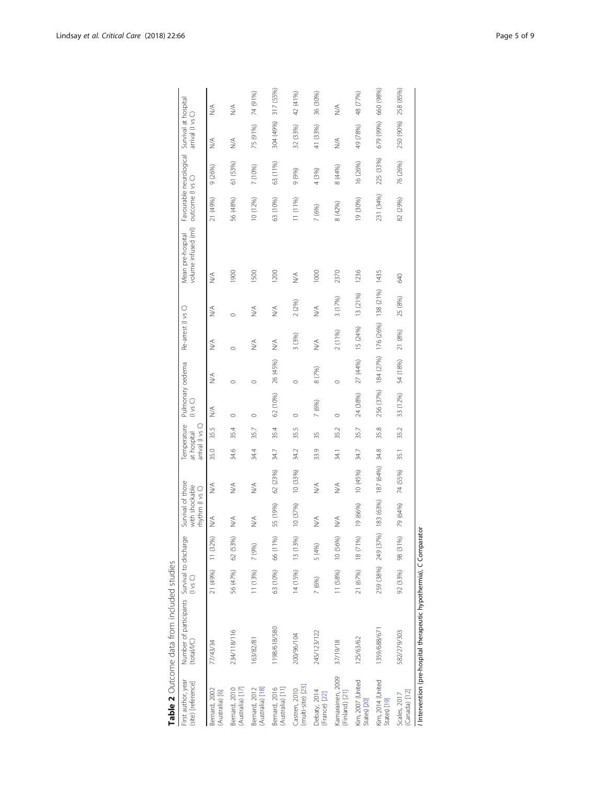<span id="page-4-0"></span>

| First author, year<br>(site) [reference] | Number of participants Survival to discharge<br>(total/I/C)       | $($ vs $\bigcirc$ |           | Survival of those<br>with shockable<br>rhythm (I vs C) |           | at hospital | Temperature<br>arrival (I vs C) | Pulmonary oedema<br>Ω<br>SΩ |                     | Re-arrest (I vs C) |           | volume infused (ml)<br>Mean pre-hospital | outcome (I vs C) | Favourable neurological | Survival at hospital<br>arrival (I vs |           |
|------------------------------------------|-------------------------------------------------------------------|-------------------|-----------|--------------------------------------------------------|-----------|-------------|---------------------------------|-----------------------------|---------------------|--------------------|-----------|------------------------------------------|------------------|-------------------------|---------------------------------------|-----------|
| Bernard, 2002<br>(Australia) [6]         | 77/43/34                                                          | 21 (49%)          | 11 (32%)  | $\lessapprox$                                          | ⋚         | 35.0        | 35.5                            | ₹                           | ≶                   | Š                  | Š         | ⋚                                        | 21 (49%)         | 9 (26%)                 | Š                                     | ⋚         |
| (Australia) [17]<br>Bernard, 2010        | 234/118/116                                                       | 56 (47%)          | 62 (53%)  | ≶                                                      | Š         | 34.6        | 35.4                            | $\circ$                     | $\circ$             | Ó                  | $\circ$   | 1900                                     | 56 (48%)         | 61 (53%)                | $\stackrel{\triangleleft}{\geq}$      | Š         |
| (Australia) [18]<br>Bernard, 2012        | 163/82/81                                                         | 11 (13%)          | 7 (9%)    | Š                                                      | Š         | 34.4        | 35.7                            | $\circ$                     | $\circ$             | $\lessapprox$      | ≫         | 1500                                     | 10 (12%)         | 7 (10%)                 | 75 (91%)                              | 74 (91%)  |
| Bernard, 2016<br>(Australia) [11]        | 1198/618/580                                                      | 63 (10%)          | 66 (11%)  | 55 (19%)                                               | 62 (23%)  | 34.7        | 35.4                            | 62 (10%)                    | 26 (45%)            | ≶                  | ≶         | 1200                                     | 63 (10%)         | 63 (11%)                | 304 (49%)                             | 317 (55%) |
| (multi-site) [23]<br>Castren, 2010       | 200/96/104                                                        | 14 (15%)          | 13 (13%)  | 10 (37%)                                               | 10 (33%)  | 34.2        | 35.5                            | $\circ$                     | $\circ$             | 3 (3%)             | 2(2%)     | ≶                                        | 11 (11%)         | 9 (9%)                  | 32 (33%)                              | 42 (41%)  |
| Debaty, 2014<br>(France) [22]            | 245/123/122                                                       | 7 (6%)            | 5 (4%)    | Š                                                      | Š         | 33.9        | 35                              | 7 (6%)                      | 8 (7%)              | $\lessapprox$      | ≶         | 1000                                     | 7 (6%)           | 4 (3%)                  | 41 (33%)                              | 36 (30%)  |
| Kamarainen, 2009<br>(Finland) [21]       | 37/19/18                                                          | 11 (58%)          | 10 (56%)  | $\stackrel{\leq}{\geq}$                                | ≶         | 34.1        | 35.2                            | $\circ$                     | $\circ$             | 2 (11%)            | 3 (17%)   | 2370                                     | 8 (42%)          | 8 (44%)                 | $\stackrel{\triangleleft}{\geq}$      | Š         |
| Kim, 2007 (United<br>States) [20]        | 125/63/62                                                         | 21 (67%)          | 18 (71%)  | 19 (66%)                                               | 10(45%)   | 34.7        | 35.7                            | 24 (38%)                    | 27 (44%)            | 15 (24%)           | 13 (21%)  | 1236                                     | 19 (30%)         | 16 (26%)                | 49 (78%)                              | 48 (77%)  |
| Kim, 2014 (United<br>States) [19]        | 1359/688/671                                                      | 259 (38%)         | 249 (37%) | 183 (63%)                                              | 187 (64%) | 34.8        | 35.8                            | 256 (37%)                   | 184 (27%) 176 (26%) |                    | 138 (21%) | 1435                                     | 231 (34%)        | 225 (33%)               | 679 (99%)                             | 660 (98%) |
| (Canada) [12]<br>Scales, 2017            | 582/279/303                                                       | 92 (33%)          | 98 (31%)  | 79 (64%)                                               | 74 (55%)  | 35.1        | 35.2                            | 33 (12%)                    | 54 (18%)            | 21 (8%)            | 25 (8%)   | 640                                      | 82 (29%)         | 76 (26%)                | 250 (90%)                             | 258 (85%) |
|                                          | Intervention (pre-hospital therapeutic hypothermia), C Comparator |                   |           |                                                        |           |             |                                 |                             |                     |                    |           |                                          |                  |                         |                                       |           |

Table 2 Outcome data from included studies

pa<br>P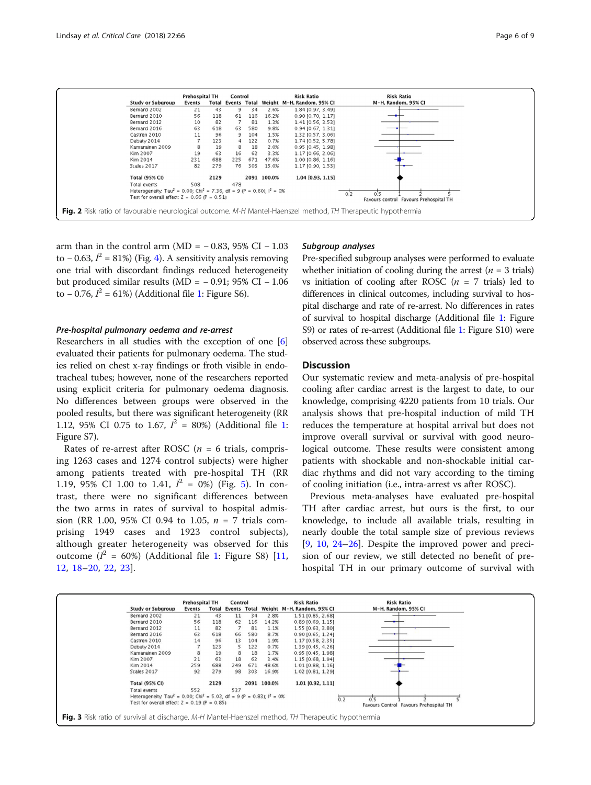<span id="page-5-0"></span>

arm than in the control arm (MD =  $-0.83$ , 95% CI  $-1.03$ to – 0.63,  $l^2 = 81\%)$  (Fig. [4](#page-6-0)). A sensitivity analysis removing one trial with discordant findings reduced heterogeneity but produced similar results (MD =  $-0.91$ ; 95% CI  $-1.06$ to  $-0.76$ ,  $I^2 = 61\%$  $I^2 = 61\%$  $I^2 = 61\%$ ) (Additional file 1: Figure S6).

#### Pre-hospital pulmonary oedema and re-arrest

Researchers in all studies with the exception of one [[6](#page-7-0)] evaluated their patients for pulmonary oedema. The studies relied on chest x-ray findings or froth visible in endotracheal tubes; however, none of the researchers reported using explicit criteria for pulmonary oedema diagnosis. No differences between groups were observed in the pooled results, but there was significant heterogeneity (RR [1](#page-7-0).12, 95% CI 0.75 to 1.67,  $I^2 = 80\%$ ) (Additional file 1: Figure S7).

Rates of re-arrest after ROSC ( $n = 6$  trials, comprising 1263 cases and 1274 control subjects) were higher among patients treated with pre-hospital TH (RR 1.19, 95% CI 1.00 to 1.41,  $I^2 = 0\%$  (Fig. [5\)](#page-6-0). In contrast, there were no significant differences between the two arms in rates of survival to hospital admission (RR 1.00, 95% CI 0.94 to 1.05,  $n = 7$  trials comprising 1949 cases and 1923 control subjects), although greater heterogeneity was observed for this outcome  $(I^2 = 60\%)$  (Additional file [1](#page-7-0): Figure S8) [\[11](#page-7-0), [12,](#page-7-0) [18](#page-7-0)–[20,](#page-8-0) [22](#page-8-0), [23](#page-8-0)].

#### Subaroup analyses

Pre-specified subgroup analyses were performed to evaluate whether initiation of cooling during the arrest ( $n = 3$  trials) vs initiation of cooling after ROSC  $(n = 7 \text{ trials})$  led to differences in clinical outcomes, including survival to hospital discharge and rate of re-arrest. No differences in rates of survival to hospital discharge (Additional file [1:](#page-7-0) Figure S9) or rates of re-arrest (Additional file [1:](#page-7-0) Figure S10) were observed across these subgroups.

#### **Discussion**

Our systematic review and meta-analysis of pre-hospital cooling after cardiac arrest is the largest to date, to our knowledge, comprising 4220 patients from 10 trials. Our analysis shows that pre-hospital induction of mild TH reduces the temperature at hospital arrival but does not improve overall survival or survival with good neurological outcome. These results were consistent among patients with shockable and non-shockable initial cardiac rhythms and did not vary according to the timing of cooling initiation (i.e., intra-arrest vs after ROSC).

Previous meta-analyses have evaluated pre-hospital TH after cardiac arrest, but ours is the first, to our knowledge, to include all available trials, resulting in nearly double the total sample size of previous reviews [[9,](#page-7-0) [10](#page-7-0), [24](#page-8-0)–[26](#page-8-0)]. Despite the improved power and precision of our review, we still detected no benefit of prehospital TH in our primary outcome of survival with

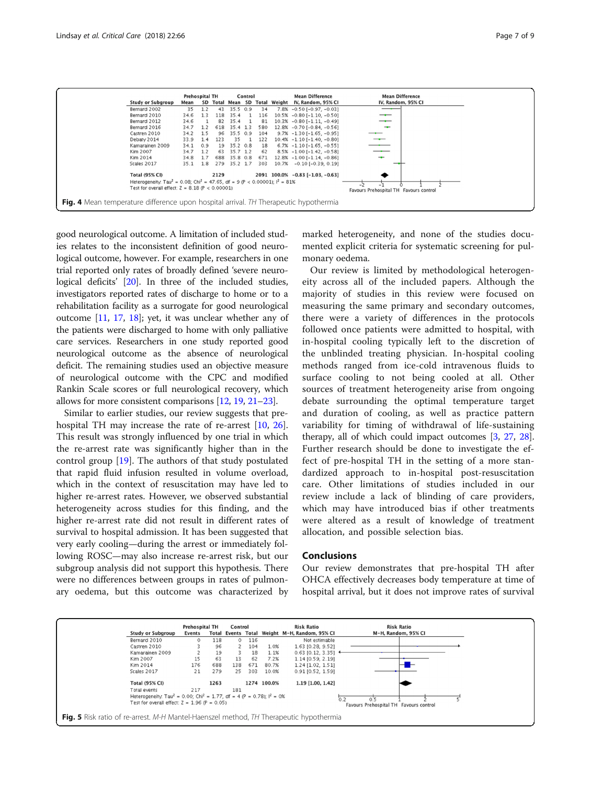<span id="page-6-0"></span>

good neurological outcome. A limitation of included studies relates to the inconsistent definition of good neurological outcome, however. For example, researchers in one trial reported only rates of broadly defined 'severe neurological deficits' [\[20\]](#page-8-0). In three of the included studies, investigators reported rates of discharge to home or to a rehabilitation facility as a surrogate for good neurological outcome [[11](#page-7-0), [17](#page-7-0), [18\]](#page-7-0); yet, it was unclear whether any of the patients were discharged to home with only palliative care services. Researchers in one study reported good neurological outcome as the absence of neurological deficit. The remaining studies used an objective measure of neurological outcome with the CPC and modified Rankin Scale scores or full neurological recovery, which allows for more consistent comparisons [\[12,](#page-7-0) [19](#page-8-0), [21](#page-8-0)–[23\]](#page-8-0).

Similar to earlier studies, our review suggests that prehospital TH may increase the rate of re-arrest [\[10](#page-7-0), [26](#page-8-0)]. This result was strongly influenced by one trial in which the re-arrest rate was significantly higher than in the control group [\[19\]](#page-8-0). The authors of that study postulated that rapid fluid infusion resulted in volume overload, which in the context of resuscitation may have led to higher re-arrest rates. However, we observed substantial heterogeneity across studies for this finding, and the higher re-arrest rate did not result in different rates of survival to hospital admission. It has been suggested that very early cooling—during the arrest or immediately following ROSC—may also increase re-arrest risk, but our subgroup analysis did not support this hypothesis. There were no differences between groups in rates of pulmonary oedema, but this outcome was characterized by marked heterogeneity, and none of the studies documented explicit criteria for systematic screening for pulmonary oedema.

Our review is limited by methodological heterogeneity across all of the included papers. Although the majority of studies in this review were focused on measuring the same primary and secondary outcomes, there were a variety of differences in the protocols followed once patients were admitted to hospital, with in-hospital cooling typically left to the discretion of the unblinded treating physician. In-hospital cooling methods ranged from ice-cold intravenous fluids to surface cooling to not being cooled at all. Other sources of treatment heterogeneity arise from ongoing debate surrounding the optimal temperature target and duration of cooling, as well as practice pattern variability for timing of withdrawal of life-sustaining therapy, all of which could impact outcomes [\[3,](#page-7-0) [27,](#page-8-0) [28](#page-8-0)]. Further research should be done to investigate the effect of pre-hospital TH in the setting of a more standardized approach to in-hospital post-resuscitation care. Other limitations of studies included in our review include a lack of blinding of care providers, which may have introduced bias if other treatments were altered as a result of knowledge of treatment allocation, and possible selection bias.

#### Conclusions

Our review demonstrates that pre-hospital TH after OHCA effectively decreases body temperature at time of hospital arrival, but it does not improve rates of survival

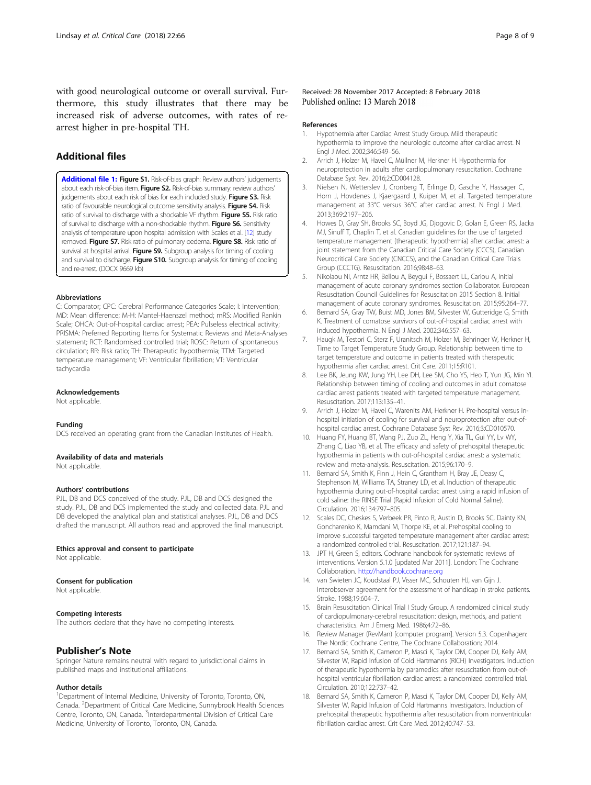<span id="page-7-0"></span>with good neurological outcome or overall survival. Furthermore, this study illustrates that there may be increased risk of adverse outcomes, with rates of rearrest higher in pre-hospital TH.

### Additional files

[Additional file 1:](https://doi.org/10.1186/s13054-018-1984-2) Figure S1. Risk-of-bias graph: Review authors' judgements about each risk-of-bias item. Figure S2. Risk-of-bias summary: review authors' judgements about each risk of bias for each included study. Figure S3. Risk ratio of favourable neurological outcome sensitivity analysis. Figure S4. Risk ratio of survival to discharge with a shockable VF rhythm. Figure S5. Risk ratio of survival to discharge with a non-shockable rhythm. Figure S6. Sensitivity analysis of temperature upon hospital admission with Scales et al. [12] study removed. Figure S7. Risk ratio of pulmonary oedema. Figure S8. Risk ratio of survival at hospital arrival. Figure S9. Subgroup analysis for timing of cooling and survival to discharge. Figure S10. Subgroup analysis for timing of cooling and re-arrest. (DOCX 9669 kb)

#### Abbreviations

C: Comparator; CPC: Cerebral Performance Categories Scale; I: Intervention; MD: Mean difference; M-H: Mantel-Haenszel method; mRS: Modified Rankin Scale; OHCA: Out-of-hospital cardiac arrest; PEA: Pulseless electrical activity; PRISMA: Preferred Reporting Items for Systematic Reviews and Meta-Analyses statement; RCT: Randomised controlled trial; ROSC: Return of spontaneous circulation; RR: Risk ratio; TH: Therapeutic hypothermia; TTM: Targeted temperature management; VF: Ventricular fibrillation; VT: Ventricular tachycardia

#### Acknowledgements

Not applicable.

#### Funding

DCS received an operating grant from the Canadian Institutes of Health.

#### Availability of data and materials

Not applicable.

#### Authors' contributions

PJL, DB and DCS conceived of the study. PJL, DB and DCS designed the study. PJL, DB and DCS implemented the study and collected data. PJL and DB developed the analytical plan and statistical analyses. PJL, DB and DCS drafted the manuscript. All authors read and approved the final manuscript.

#### Ethics approval and consent to participate

Not applicable.

#### Consent for publication

Not applicable.

#### Competing interests

The authors declare that they have no competing interests.

#### Publisher's Note

Springer Nature remains neutral with regard to jurisdictional claims in published maps and institutional affiliations.

#### Author details

<sup>1</sup>Department of Internal Medicine, University of Toronto, Toronto, ON, Canada. <sup>2</sup>Department of Critical Care Medicine, Sunnybrook Health Sciences Centre, Toronto, ON, Canada. <sup>3</sup>Interdepartmental Division of Critical Care Medicine, University of Toronto, Toronto, ON, Canada.

Received: 28 November 2017 Accepted: 8 February 2018 Published online: 13 March 2018

#### References

- 1. Hypothermia after Cardiac Arrest Study Group. Mild therapeutic hypothermia to improve the neurologic outcome after cardiac arrest. N Engl J Med. 2002;346:549–56.
- 2. Arrich J, Holzer M, Havel C, Müllner M, Herkner H. Hypothermia for neuroprotection in adults after cardiopulmonary resuscitation. Cochrane Database Syst Rev. 2016;2:CD004128.
- 3. Nielsen N, Wetterslev J, Cronberg T, Erlinge D, Gasche Y, Hassager C, Horn J, Hovdenes J, Kjaergaard J, Kuiper M, et al. Targeted temperature management at 33°C versus 36°C after cardiac arrest. N Engl J Med. 2013;369:2197–206.
- 4. Howes D, Gray SH, Brooks SC, Boyd JG, Djogovic D, Golan E, Green RS, Jacka MJ, Sinuff T, Chaplin T, et al. Canadian guidelines for the use of targeted temperature management (therapeutic hypothermia) after cardiac arrest: a joint statement from the Canadian Critical Care Society (CCCS), Canadian Neurocritical Care Society (CNCCS), and the Canadian Critical Care Trials Group (CCCTG). Resuscitation. 2016;98:48–63.
- 5. Nikolaou NI, Arntz HR, Bellou A, Beygui F, Bossaert LL, Cariou A, Initial management of acute coronary syndromes section Collaborator. European Resuscitation Council Guidelines for Resuscitation 2015 Section 8. Initial management of acute coronary syndromes. Resuscitation. 2015;95:264–77.
- 6. Bernard SA, Gray TW, Buist MD, Jones BM, Silvester W, Gutteridge G, Smith K. Treatment of comatose survivors of out-of-hospital cardiac arrest with induced hypothermia. N Engl J Med. 2002;346:557–63.
- Haugk M, Testori C, Sterz F, Uranitsch M, Holzer M, Behringer W, Herkner H, Time to Target Temperature Study Group. Relationship between time to target temperature and outcome in patients treated with therapeutic hypothermia after cardiac arrest. Crit Care. 2011;15:R101.
- 8. Lee BK, Jeung KW, Jung YH, Lee DH, Lee SM, Cho YS, Heo T, Yun JG, Min YI. Relationship between timing of cooling and outcomes in adult comatose cardiac arrest patients treated with targeted temperature management. Resuscitation. 2017;113:135–41.
- 9. Arrich J, Holzer M, Havel C, Warenits AM, Herkner H. Pre-hospital versus inhospital initiation of cooling for survival and neuroprotection after out-ofhospital cardiac arrest. Cochrane Database Syst Rev. 2016;3:CD010570.
- 10. Huang FY, Huang BT, Wang PJ, Zuo ZL, Heng Y, Xia TL, Gui YY, Lv WY, Zhang C, Liao YB, et al. The efficacy and safety of prehospital therapeutic hypothermia in patients with out-of-hospital cardiac arrest: a systematic review and meta-analysis. Resuscitation. 2015;96:170–9.
- 11. Bernard SA, Smith K, Finn J, Hein C, Grantham H, Bray JE, Deasy C, Stephenson M, Williams TA, Straney LD, et al. Induction of therapeutic hypothermia during out-of-hospital cardiac arrest using a rapid infusion of cold saline: the RINSE Trial (Rapid Infusion of Cold Normal Saline). Circulation. 2016;134:797–805.
- 12. Scales DC, Cheskes S, Verbeek PR, Pinto R, Austin D, Brooks SC, Dainty KN, Goncharenko K, Mamdani M, Thorpe KE, et al. Prehospital cooling to improve successful targeted temperature management after cardiac arrest: a randomized controlled trial. Resuscitation. 2017;121:187–94.
- 13. JPT H, Green S, editors. Cochrane handbook for systematic reviews of interventions. Version 5.1.0 [updated Mar 2011]. London: The Cochrane Collaboration. <http://handbook.cochrane.org>
- 14. van Swieten JC, Koudstaal PJ, Visser MC, Schouten HJ, van Gijn J. Interobserver agreement for the assessment of handicap in stroke patients. Stroke. 1988;19:604–7.
- 15. Brain Resuscitation Clinical Trial I Study Group. A randomized clinical study of cardiopulmonary-cerebral resuscitation: design, methods, and patient characteristics. Am J Emerg Med. 1986;4:72–86.
- 16. Review Manager (RevMan) [computer program]. Version 5.3. Copenhagen: The Nordic Cochrane Centre, The Cochrane Collaboration; 2014.
- 17. Bernard SA, Smith K, Cameron P, Masci K, Taylor DM, Cooper DJ, Kelly AM, Silvester W, Rapid Infusion of Cold Hartmanns (RICH) Investigators. Induction of therapeutic hypothermia by paramedics after resuscitation from out-ofhospital ventricular fibrillation cardiac arrest: a randomized controlled trial. Circulation. 2010;122:737–42.
- 18. Bernard SA, Smith K, Cameron P, Masci K, Taylor DM, Cooper DJ, Kelly AM, Silvester W, Rapid Infusion of Cold Hartmanns Investigators. Induction of prehospital therapeutic hypothermia after resuscitation from nonventricular fibrillation cardiac arrest. Crit Care Med. 2012;40:747–53.